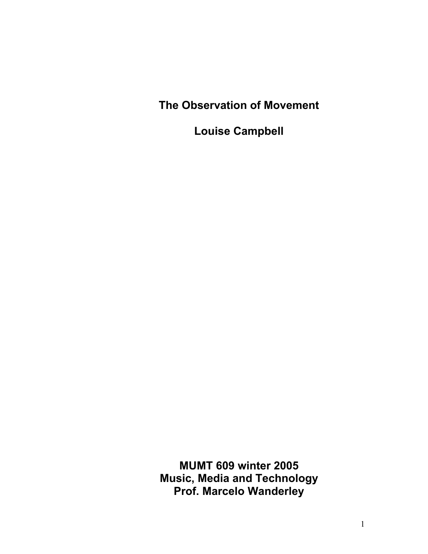**The Observation of Movement** 

**Louise Campbell** 

**MUMT 609 winter 2005 Music, Media and Technology Prof. Marcelo Wanderley**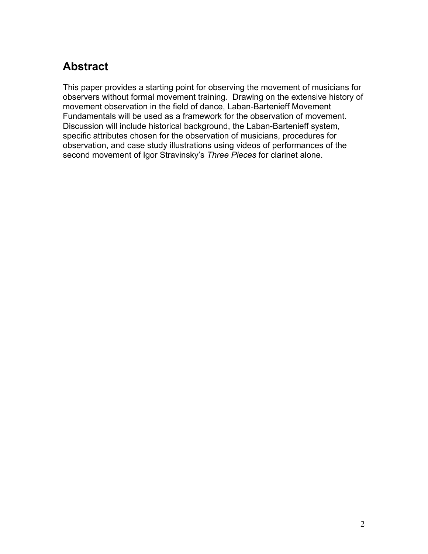# **Abstract**

This paper provides a starting point for observing the movement of musicians for observers without formal movement training. Drawing on the extensive history of movement observation in the field of dance, Laban-Bartenieff Movement Fundamentals will be used as a framework for the observation of movement. Discussion will include historical background, the Laban-Bartenieff system, specific attributes chosen for the observation of musicians, procedures for observation, and case study illustrations using videos of performances of the second movement of Igor Stravinsky's *Three Pieces* for clarinet alone.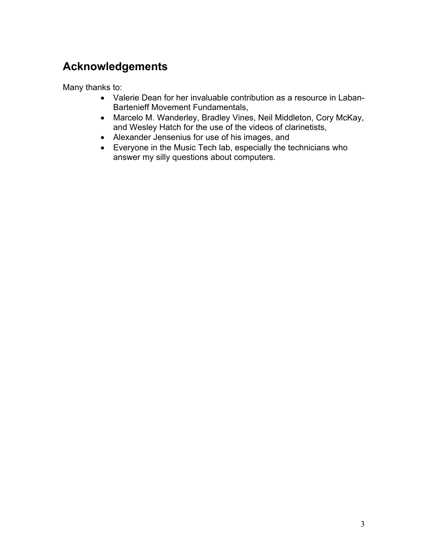# **Acknowledgements**

Many thanks to:

- Valerie Dean for her invaluable contribution as a resource in Laban-Bartenieff Movement Fundamentals,
- Marcelo M. Wanderley, Bradley Vines, Neil Middleton, Cory McKay, and Wesley Hatch for the use of the videos of clarinetists,
- Alexander Jensenius for use of his images, and
- Everyone in the Music Tech lab, especially the technicians who answer my silly questions about computers.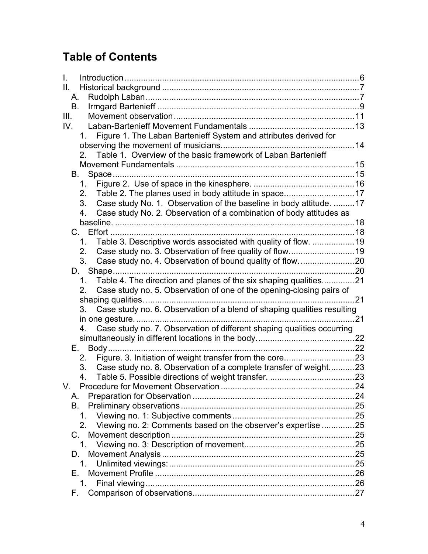# **Table of Contents**

| $\mathbf{L}$                                                                  |  |
|-------------------------------------------------------------------------------|--|
| Ш.                                                                            |  |
| А.                                                                            |  |
| В.                                                                            |  |
| III.                                                                          |  |
| IV.                                                                           |  |
| Figure 1. The Laban Bartenieff System and attributes derived for<br>1.        |  |
|                                                                               |  |
| 2. Table 1. Overview of the basic framework of Laban Bartenieff               |  |
|                                                                               |  |
| В.                                                                            |  |
| 1.                                                                            |  |
| 2.                                                                            |  |
| Case study No. 1. Observation of the baseline in body attitude. 17<br>3.      |  |
| Case study No. 2. Observation of a combination of body attitudes as<br>4.     |  |
|                                                                               |  |
|                                                                               |  |
| Table 3. Descriptive words associated with quality of flow.  19<br>1.         |  |
| Case study no. 3. Observation of free quality of flow 19<br>2.                |  |
| Case study no. 4. Observation of bound quality of flow20<br>3.                |  |
| D.                                                                            |  |
| Table 4. The direction and planes of the six shaping qualities21<br>1.        |  |
| Case study no. 5. Observation of one of the opening-closing pairs of<br>2.    |  |
|                                                                               |  |
| Case study no. 6. Observation of a blend of shaping qualities resulting<br>3. |  |
|                                                                               |  |
| Case study no. 7. Observation of different shaping qualities occurring<br>4.  |  |
|                                                                               |  |
|                                                                               |  |
| 2.                                                                            |  |
| Case study no. 8. Observation of a complete transfer of weight23<br>3.        |  |
| 4.                                                                            |  |
|                                                                               |  |
| Α.                                                                            |  |
| В.                                                                            |  |
| 1.                                                                            |  |
| Viewing no. 2: Comments based on the observer's expertise 25<br>2.            |  |
| C.                                                                            |  |
| 1.                                                                            |  |
| D.                                                                            |  |
| 1.                                                                            |  |
| Е.                                                                            |  |
| 1.                                                                            |  |
| F.                                                                            |  |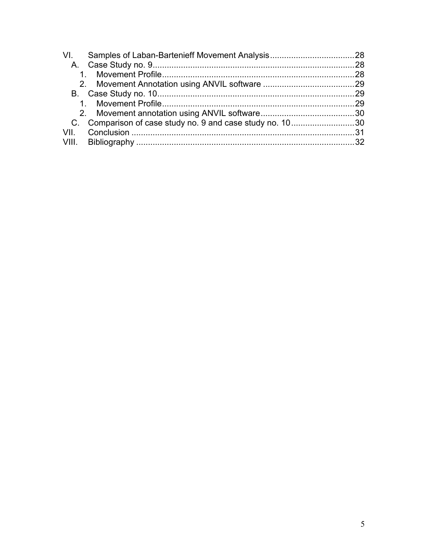| 1    |                                                           |  |
|------|-----------------------------------------------------------|--|
|      |                                                           |  |
|      | C. Comparison of case study no. 9 and case study no. 1030 |  |
| VII. |                                                           |  |
|      |                                                           |  |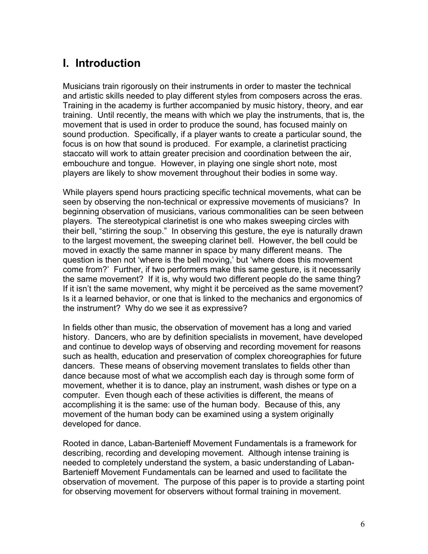# **I. Introduction**

Musicians train rigorously on their instruments in order to master the technical and artistic skills needed to play different styles from composers across the eras. Training in the academy is further accompanied by music history, theory, and ear training. Until recently, the means with which we play the instruments, that is, the movement that is used in order to produce the sound, has focused mainly on sound production. Specifically, if a player wants to create a particular sound, the focus is on how that sound is produced. For example, a clarinetist practicing staccato will work to attain greater precision and coordination between the air, embouchure and tongue. However, in playing one single short note, most players are likely to show movement throughout their bodies in some way.

While players spend hours practicing specific technical movements, what can be seen by observing the non-technical or expressive movements of musicians? In beginning observation of musicians, various commonalities can be seen between players. The stereotypical clarinetist is one who makes sweeping circles with their bell, "stirring the soup." In observing this gesture, the eye is naturally drawn to the largest movement, the sweeping clarinet bell. However, the bell could be moved in exactly the same manner in space by many different means. The question is then not 'where is the bell moving,' but 'where does this movement come from?' Further, if two performers make this same gesture, is it necessarily the same movement? If it is, why would two different people do the same thing? If it isn't the same movement, why might it be perceived as the same movement? Is it a learned behavior, or one that is linked to the mechanics and ergonomics of the instrument? Why do we see it as expressive?

In fields other than music, the observation of movement has a long and varied history. Dancers, who are by definition specialists in movement, have developed and continue to develop ways of observing and recording movement for reasons such as health, education and preservation of complex choreographies for future dancers. These means of observing movement translates to fields other than dance because most of what we accomplish each day is through some form of movement, whether it is to dance, play an instrument, wash dishes or type on a computer. Even though each of these activities is different, the means of accomplishing it is the same: use of the human body. Because of this, any movement of the human body can be examined using a system originally developed for dance.

Rooted in dance, Laban-Bartenieff Movement Fundamentals is a framework for describing, recording and developing movement. Although intense training is needed to completely understand the system, a basic understanding of Laban-Bartenieff Movement Fundamentals can be learned and used to facilitate the observation of movement. The purpose of this paper is to provide a starting point for observing movement for observers without formal training in movement.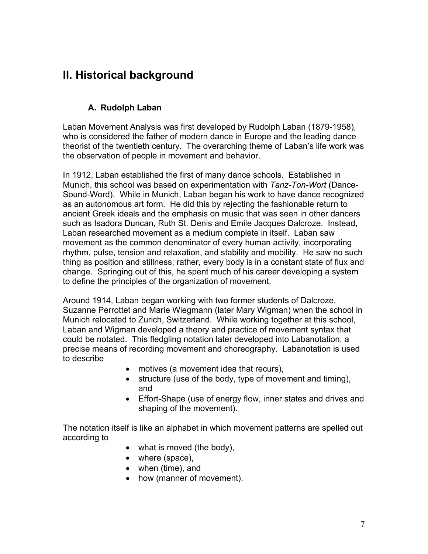# **II. Historical background**

#### **A. Rudolph Laban**

Laban Movement Analysis was first developed by Rudolph Laban (1879-1958), who is considered the father of modern dance in Europe and the leading dance theorist of the twentieth century. The overarching theme of Laban's life work was the observation of people in movement and behavior.

In 1912, Laban established the first of many dance schools. Established in Munich, this school was based on experimentation with *Tanz-Ton-Wort* (Dance-Sound-Word). While in Munich, Laban began his work to have dance recognized as an autonomous art form. He did this by rejecting the fashionable return to ancient Greek ideals and the emphasis on music that was seen in other dancers such as Isadora Duncan, Ruth St. Denis and Emile Jacques Dalcroze. Instead, Laban researched movement as a medium complete in itself. Laban saw movement as the common denominator of every human activity, incorporating rhythm, pulse, tension and relaxation, and stability and mobility. He saw no such thing as position and stillness; rather, every body is in a constant state of flux and change. Springing out of this, he spent much of his career developing a system to define the principles of the organization of movement.

Around 1914, Laban began working with two former students of Dalcroze, Suzanne Perrottet and Marie Wiegmann (later Mary Wigman) when the school in Munich relocated to Zurich, Switzerland. While working together at this school, Laban and Wigman developed a theory and practice of movement syntax that could be notated. This fledgling notation later developed into Labanotation, a precise means of recording movement and choreography. Labanotation is used to describe

- motives (a movement idea that recurs),
- structure (use of the body, type of movement and timing), and
- Effort-Shape (use of energy flow, inner states and drives and shaping of the movement).

The notation itself is like an alphabet in which movement patterns are spelled out according to

- what is moved (the body),
- where (space),
- when (time), and
- how (manner of movement).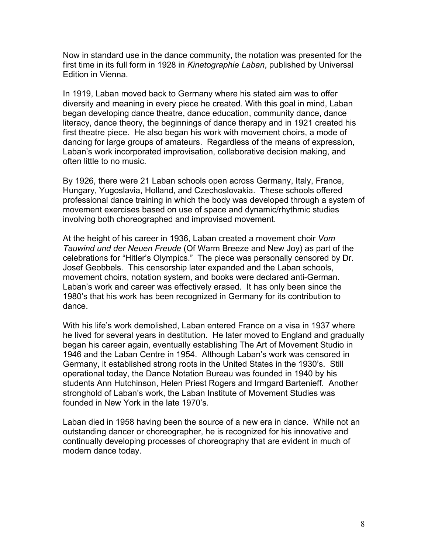Now in standard use in the dance community, the notation was presented for the first time in its full form in 1928 in *Kinetographie Laban*, published by Universal Edition in Vienna.

In 1919, Laban moved back to Germany where his stated aim was to offer diversity and meaning in every piece he created. With this goal in mind, Laban began developing dance theatre, dance education, community dance, dance literacy, dance theory, the beginnings of dance therapy and in 1921 created his first theatre piece. He also began his work with movement choirs, a mode of dancing for large groups of amateurs. Regardless of the means of expression, Laban's work incorporated improvisation, collaborative decision making, and often little to no music.

By 1926, there were 21 Laban schools open across Germany, Italy, France, Hungary, Yugoslavia, Holland, and Czechoslovakia. These schools offered professional dance training in which the body was developed through a system of movement exercises based on use of space and dynamic/rhythmic studies involving both choreographed and improvised movement.

At the height of his career in 1936, Laban created a movement choir *Vom Tauwind und der Neuen Freude* (Of Warm Breeze and New Joy) as part of the celebrations for "Hitler's Olympics." The piece was personally censored by Dr. Josef Geobbels. This censorship later expanded and the Laban schools, movement choirs, notation system, and books were declared anti-German. Laban's work and career was effectively erased. It has only been since the 1980's that his work has been recognized in Germany for its contribution to dance.

With his life's work demolished, Laban entered France on a visa in 1937 where he lived for several years in destitution. He later moved to England and gradually began his career again, eventually establishing The Art of Movement Studio in 1946 and the Laban Centre in 1954. Although Laban's work was censored in Germany, it established strong roots in the United States in the 1930's. Still operational today, the Dance Notation Bureau was founded in 1940 by his students Ann Hutchinson, Helen Priest Rogers and Irmgard Bartenieff. Another stronghold of Laban's work, the Laban Institute of Movement Studies was founded in New York in the late 1970's.

Laban died in 1958 having been the source of a new era in dance. While not an outstanding dancer or choreographer, he is recognized for his innovative and continually developing processes of choreography that are evident in much of modern dance today.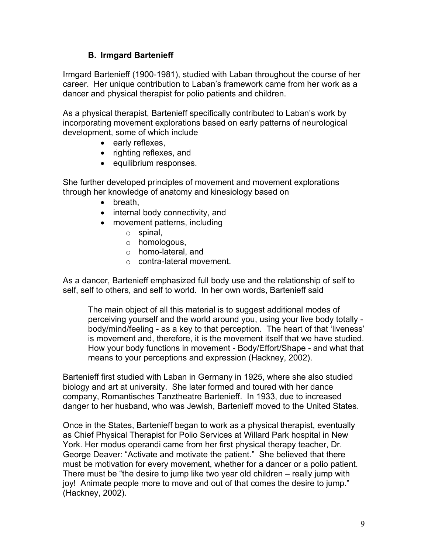#### **B. Irmgard Bartenieff**

Irmgard Bartenieff (1900-1981), studied with Laban throughout the course of her career. Her unique contribution to Laban's framework came from her work as a dancer and physical therapist for polio patients and children.

As a physical therapist, Bartenieff specifically contributed to Laban's work by incorporating movement explorations based on early patterns of neurological development, some of which include

- early reflexes,
- righting reflexes, and
- equilibrium responses.

She further developed principles of movement and movement explorations through her knowledge of anatomy and kinesiology based on

- breath,
- internal body connectivity, and
- movement patterns, including
	- o spinal,
	- o homologous,
	- o homo-lateral, and
	- o contra-lateral movement.

As a dancer, Bartenieff emphasized full body use and the relationship of self to self, self to others, and self to world. In her own words, Bartenieff said

The main object of all this material is to suggest additional modes of perceiving yourself and the world around you, using your live body totally body/mind/feeling - as a key to that perception. The heart of that 'liveness' is movement and, therefore, it is the movement itself that we have studied. How your body functions in movement - Body/Effort/Shape - and what that means to your perceptions and expression (Hackney, 2002).

Bartenieff first studied with Laban in Germany in 1925, where she also studied biology and art at university. She later formed and toured with her dance company, Romantisches Tanztheatre Bartenieff. In 1933, due to increased danger to her husband, who was Jewish, Bartenieff moved to the United States.

Once in the States, Bartenieff began to work as a physical therapist, eventually as Chief Physical Therapist for Polio Services at Willard Park hospital in New York. Her modus operandi came from her first physical therapy teacher, Dr. George Deaver: "Activate and motivate the patient." She believed that there must be motivation for every movement, whether for a dancer or a polio patient. There must be "the desire to jump like two year old children – really jump with joy! Animate people more to move and out of that comes the desire to jump." (Hackney, 2002).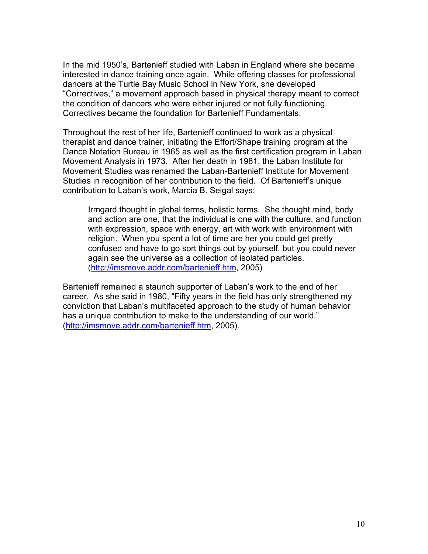In the mid 1950's, Bartenieff studied with Laban in England where she became interested in dance training once again. While offering classes for professional dancers at the Turtle Bay Music School in New York, she developed "Correctives," a movement approach based in physical therapy meant to correct the condition of dancers who were either injured or not fully functioning. Correctives became the foundation for Bartenieff Fundamentals.

Throughout the rest of her life, Bartenieff continued to work as a physical therapist and dance trainer, initiating the Effort/Shape training program at the Dance Notation Bureau in 1965 as well as the first certification program in Laban Movement Analysis in 1973. After her death in 1981, the Laban Institute for Movement Studies was renamed the Laban-Bartenieff Institute for Movement Studies in recognition of her contribution to the field. Of Bartenieff's unique contribution to Laban's work, Marcia B. Seigal says:

Irmgard thought in global terms, holistic terms. She thought mind, body and action are one, that the individual is one with the culture, and function with expression, space with energy, art with work with environment with religion. When you spent a lot of time are her you could get pretty confused and have to go sort things out by yourself, but you could never again see the universe as a collection of isolated particles. (http://imsmove.addr.com/bartenieff.htm, 2005)

Bartenieff remained a staunch supporter of Laban's work to the end of her career. As she said in 1980, "Fifty years in the field has only strengthened my conviction that Laban's multifaceted approach to the study of human behavior has a unique contribution to make to the understanding of our world." (http://imsmove.addr.com/bartenieff.htm, 2005).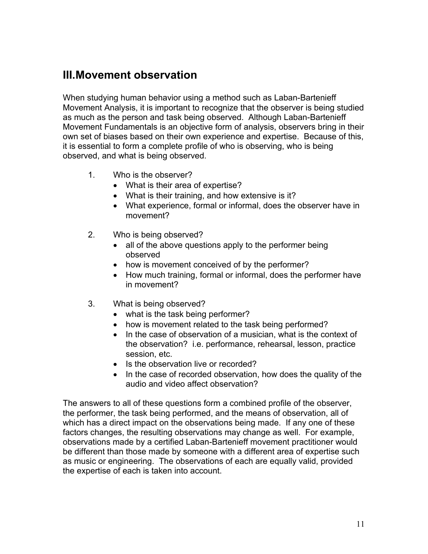# **III. Movement observation**

When studying human behavior using a method such as Laban-Bartenieff Movement Analysis, it is important to recognize that the observer is being studied as much as the person and task being observed. Although Laban-Bartenieff Movement Fundamentals is an objective form of analysis, observers bring in their own set of biases based on their own experience and expertise. Because of this, it is essential to form a complete profile of who is observing, who is being observed, and what is being observed.

- 1. Who is the observer?
	- What is their area of expertise?
	- What is their training, and how extensive is it?
	- What experience, formal or informal, does the observer have in movement?
- 2. Who is being observed?
	- all of the above questions apply to the performer being observed
	- how is movement conceived of by the performer?
	- How much training, formal or informal, does the performer have in movement?
- 3. What is being observed?
	- what is the task being performer?
	- how is movement related to the task being performed?
	- In the case of observation of a musician, what is the context of the observation? i.e. performance, rehearsal, lesson, practice session, etc.
	- Is the observation live or recorded?
	- In the case of recorded observation, how does the quality of the audio and video affect observation?

The answers to all of these questions form a combined profile of the observer, the performer, the task being performed, and the means of observation, all of which has a direct impact on the observations being made. If any one of these factors changes, the resulting observations may change as well. For example, observations made by a certified Laban-Bartenieff movement practitioner would be different than those made by someone with a different area of expertise such as music or engineering. The observations of each are equally valid, provided the expertise of each is taken into account.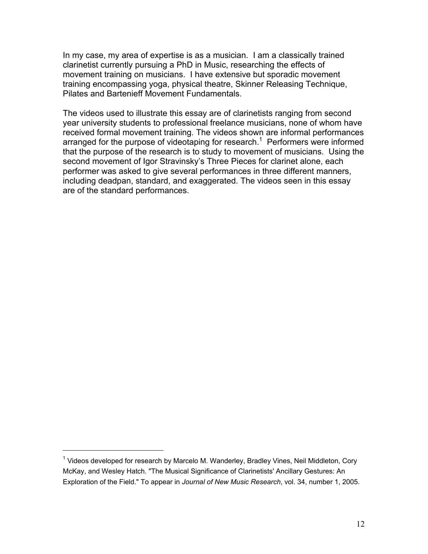In my case, my area of expertise is as a musician. I am a classically trained clarinetist currently pursuing a PhD in Music, researching the effects of movement training on musicians. I have extensive but sporadic movement training encompassing yoga, physical theatre, Skinner Releasing Technique, Pilates and Bartenieff Movement Fundamentals.

The videos used to illustrate this essay are of clarinetists ranging from second year university students to professional freelance musicians, none of whom have received formal movement training. The videos shown are informal performances arranged for the purpose of videotaping for research.<sup>1</sup> Performers were informed that the purpose of the research is to study to movement of musicians. Using the second movement of Igor Stravinsky's Three Pieces for clarinet alone, each performer was asked to give several performances in three different manners, including deadpan, standard, and exaggerated. The videos seen in this essay are of the standard performances.

 $\overline{a}$ 

<sup>&</sup>lt;sup>1</sup> Videos developed for research by Marcelo M. Wanderley, Bradley Vines, Neil Middleton, Cory McKay, and Wesley Hatch. "The Musical Significance of Clarinetists' Ancillary Gestures: An Exploration of the Field." To appear in *Journal of New Music Research*, vol. 34, number 1, 2005.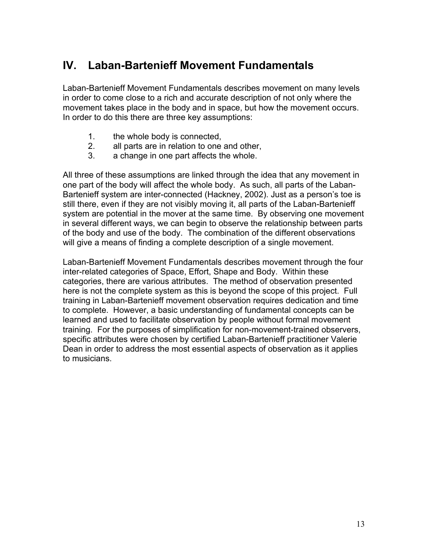# **IV. Laban-Bartenieff Movement Fundamentals**

Laban-Bartenieff Movement Fundamentals describes movement on many levels in order to come close to a rich and accurate description of not only where the movement takes place in the body and in space, but how the movement occurs. In order to do this there are three key assumptions:

- 1. the whole body is connected,
- 2. all parts are in relation to one and other,<br>3. a change in one part affects the whole.
- a change in one part affects the whole.

All three of these assumptions are linked through the idea that any movement in one part of the body will affect the whole body. As such, all parts of the Laban-Bartenieff system are inter-connected (Hackney, 2002). Just as a person's toe is still there, even if they are not visibly moving it, all parts of the Laban-Bartenieff system are potential in the mover at the same time. By observing one movement in several different ways, we can begin to observe the relationship between parts of the body and use of the body. The combination of the different observations will give a means of finding a complete description of a single movement.

Laban-Bartenieff Movement Fundamentals describes movement through the four inter-related categories of Space, Effort, Shape and Body. Within these categories, there are various attributes. The method of observation presented here is not the complete system as this is beyond the scope of this project. Full training in Laban-Bartenieff movement observation requires dedication and time to complete. However, a basic understanding of fundamental concepts can be learned and used to facilitate observation by people without formal movement training. For the purposes of simplification for non-movement-trained observers, specific attributes were chosen by certified Laban-Bartenieff practitioner Valerie Dean in order to address the most essential aspects of observation as it applies to musicians.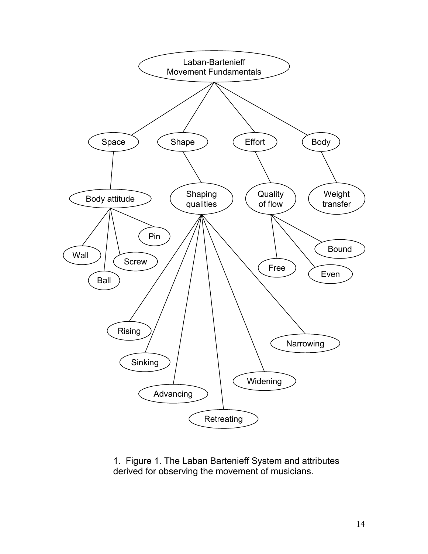

1. Figure 1. The Laban Bartenieff System and attributes derived for observing the movement of musicians.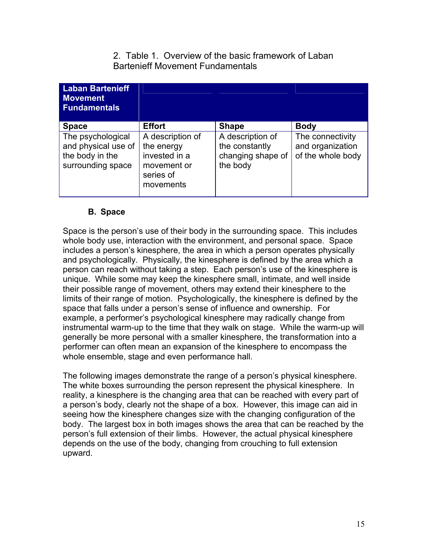2. Table 1. Overview of the basic framework of Laban Bartenieff Movement Fundamentals

| <b>Laban Bartenieff</b><br><b>Movement</b><br><b>Fundamentals</b>                                |                                                                                                           |                                                                                     |                                                                          |
|--------------------------------------------------------------------------------------------------|-----------------------------------------------------------------------------------------------------------|-------------------------------------------------------------------------------------|--------------------------------------------------------------------------|
| <b>Space</b><br>The psychological<br>and physical use of<br>the body in the<br>surrounding space | <b>Effort</b><br>A description of<br>the energy<br>invested in a<br>movement or<br>series of<br>movements | <b>Shape</b><br>A description of<br>the constantly<br>changing shape of<br>the body | <b>Body</b><br>The connectivity<br>and organization<br>of the whole body |

#### **B. Space**

Space is the person's use of their body in the surrounding space. This includes whole body use, interaction with the environment, and personal space. Space includes a person's kinesphere, the area in which a person operates physically and psychologically. Physically, the kinesphere is defined by the area which a person can reach without taking a step. Each person's use of the kinesphere is unique. While some may keep the kinesphere small, intimate, and well inside their possible range of movement, others may extend their kinesphere to the limits of their range of motion. Psychologically, the kinesphere is defined by the space that falls under a person's sense of influence and ownership. For example, a performer's psychological kinesphere may radically change from instrumental warm-up to the time that they walk on stage. While the warm-up will generally be more personal with a smaller kinesphere, the transformation into a performer can often mean an expansion of the kinesphere to encompass the whole ensemble, stage and even performance hall.

The following images demonstrate the range of a person's physical kinesphere. The white boxes surrounding the person represent the physical kinesphere. In reality, a kinesphere is the changing area that can be reached with every part of a person's body, clearly not the shape of a box. However, this image can aid in seeing how the kinesphere changes size with the changing configuration of the body. The largest box in both images shows the area that can be reached by the person's full extension of their limbs. However, the actual physical kinesphere depends on the use of the body, changing from crouching to full extension upward.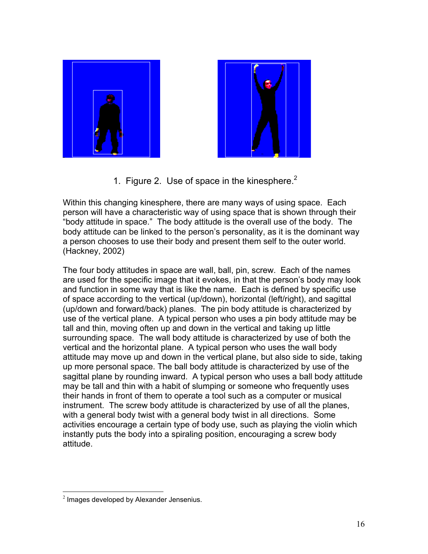



1. Figure 2. Use of space in the kinesphere.<sup>2</sup>

Within this changing kinesphere, there are many ways of using space. Each person will have a characteristic way of using space that is shown through their "body attitude in space." The body attitude is the overall use of the body. The body attitude can be linked to the person's personality, as it is the dominant way a person chooses to use their body and present them self to the outer world. (Hackney, 2002)

The four body attitudes in space are wall, ball, pin, screw. Each of the names are used for the specific image that it evokes, in that the person's body may look and function in some way that is like the name. Each is defined by specific use of space according to the vertical (up/down), horizontal (left/right), and sagittal (up/down and forward/back) planes. The pin body attitude is characterized by use of the vertical plane. A typical person who uses a pin body attitude may be tall and thin, moving often up and down in the vertical and taking up little surrounding space. The wall body attitude is characterized by use of both the vertical and the horizontal plane. A typical person who uses the wall body attitude may move up and down in the vertical plane, but also side to side, taking up more personal space. The ball body attitude is characterized by use of the sagittal plane by rounding inward. A typical person who uses a ball body attitude may be tall and thin with a habit of slumping or someone who frequently uses their hands in front of them to operate a tool such as a computer or musical instrument. The screw body attitude is characterized by use of all the planes, with a general body twist with a general body twist in all directions. Some activities encourage a certain type of body use, such as playing the violin which instantly puts the body into a spiraling position, encouraging a screw body attitude.

 $\overline{a}$  $2$  Images developed by Alexander Jensenius.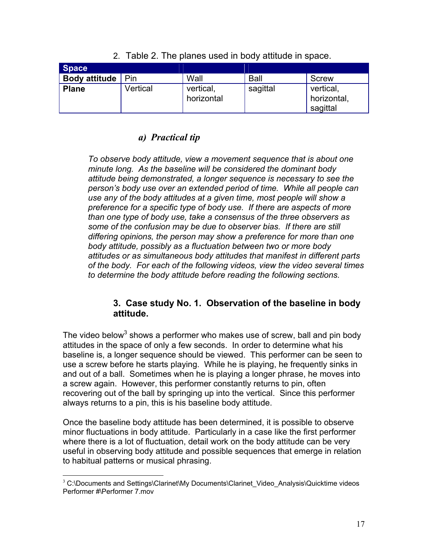| <b>Space</b>         |          |                         |             |                                      |
|----------------------|----------|-------------------------|-------------|--------------------------------------|
| <b>Body attitude</b> | Pin      | Wall                    | <b>Ball</b> | Screw                                |
| <b>Plane</b>         | Vertical | vertical,<br>horizontal | sagittal    | vertical,<br>horizontal,<br>sagittal |

#### 2. Table 2. The planes used in body attitude in space.

## *a) Practical tip*

*To observe body attitude, view a movement sequence that is about one minute long. As the baseline will be considered the dominant body attitude being demonstrated, a longer sequence is necessary to see the person's body use over an extended period of time. While all people can use any of the body attitudes at a given time, most people will show a preference for a specific type of body use. If there are aspects of more than one type of body use, take a consensus of the three observers as some of the confusion may be due to observer bias. If there are still differing opinions, the person may show a preference for more than one body attitude, possibly as a fluctuation between two or more body attitudes or as simultaneous body attitudes that manifest in different parts of the body. For each of the following videos, view the video several times to determine the body attitude before reading the following sections.* 

#### **3. Case study No. 1. Observation of the baseline in body attitude.**

The video below<sup>3</sup> shows a performer who makes use of screw, ball and pin body attitudes in the space of only a few seconds. In order to determine what his baseline is, a longer sequence should be viewed. This performer can be seen to use a screw before he starts playing. While he is playing, he frequently sinks in and out of a ball. Sometimes when he is playing a longer phrase, he moves into a screw again. However, this performer constantly returns to pin, often recovering out of the ball by springing up into the vertical. Since this performer always returns to a pin, this is his baseline body attitude.

Once the baseline body attitude has been determined, it is possible to observe minor fluctuations in body attitude. Particularly in a case like the first performer where there is a lot of fluctuation, detail work on the body attitude can be very useful in observing body attitude and possible sequences that emerge in relation to habitual patterns or musical phrasing.

<sup>1</sup>  $3$  C:\Documents and Settings\Clarinet\My Documents\Clarinet\_Video\_Analysis\Quicktime videos Performer #\Performer 7.mov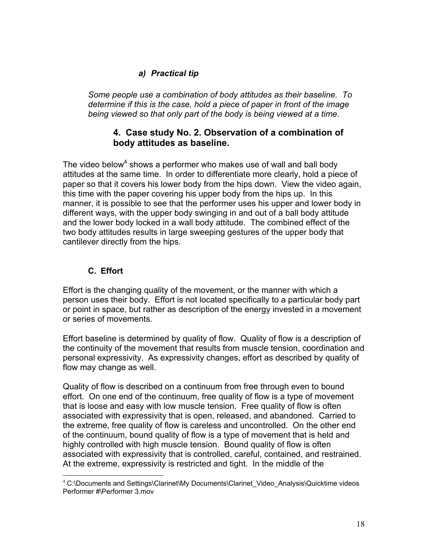#### *a) Practical tip*

*Some people use a combination of body attitudes as their baseline. To determine if this is the case, hold a piece of paper in front of the image being viewed so that only part of the body is being viewed at a time.* 

#### **4. Case study No. 2. Observation of a combination of body attitudes as baseline.**

The video below<sup>4</sup> shows a performer who makes use of wall and ball body attitudes at the same time. In order to differentiate more clearly, hold a piece of paper so that it covers his lower body from the hips down. View the video again, this time with the paper covering his upper body from the hips up. In this manner, it is possible to see that the performer uses his upper and lower body in different ways, with the upper body swinging in and out of a ball body attitude and the lower body locked in a wall body attitude. The combined effect of the two body attitudes results in large sweeping gestures of the upper body that cantilever directly from the hips.

#### **C. Effort**

Effort is the changing quality of the movement, or the manner with which a person uses their body. Effort is not located specifically to a particular body part or point in space, but rather as description of the energy invested in a movement or series of movements.

Effort baseline is determined by quality of flow. Quality of flow is a description of the continuity of the movement that results from muscle tension, coordination and personal expressivity. As expressivity changes, effort as described by quality of flow may change as well.

Quality of flow is described on a continuum from free through even to bound effort. On one end of the continuum, free quality of flow is a type of movement that is loose and easy with low muscle tension. Free quality of flow is often associated with expressivity that is open, released, and abandoned. Carried to the extreme, free quality of flow is careless and uncontrolled. On the other end of the continuum, bound quality of flow is a type of movement that is held and highly controlled with high muscle tension. Bound quality of flow is often associated with expressivity that is controlled, careful, contained, and restrained. At the extreme, expressivity is restricted and tight. In the middle of the

 $\overline{a}$ <sup>4</sup> C:\Documents and Settings\Clarinet\My Documents\Clarinet\_Video\_Analysis\Quicktime videos Performer #\Performer 3.mov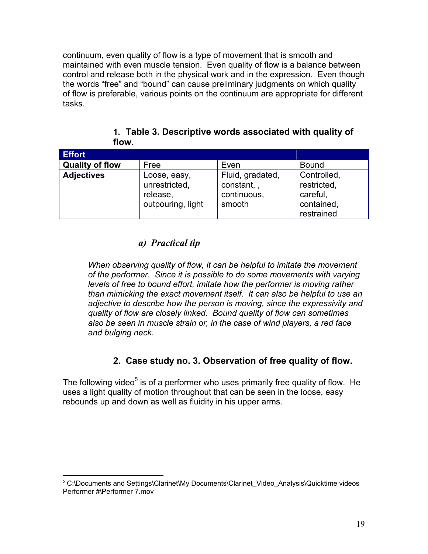continuum, even quality of flow is a type of movement that is smooth and maintained with even muscle tension. Even quality of flow is a balance between control and release both in the physical work and in the expression. Even though the words "free" and "bound" can cause preliminary judgments on which quality of flow is preferable, various points on the continuum are appropriate for different tasks.

| <b>Effort</b>          |                                                                |                                                         |                                                                    |
|------------------------|----------------------------------------------------------------|---------------------------------------------------------|--------------------------------------------------------------------|
| <b>Quality of flow</b> | Free                                                           | Even                                                    | <b>Bound</b>                                                       |
| <b>Adjectives</b>      | Loose, easy,<br>unrestricted,<br>release,<br>outpouring, light | Fluid, gradated,<br>constant,,<br>continuous,<br>smooth | Controlled,<br>restricted,<br>careful,<br>contained,<br>restrained |

#### **1. Table 3. Descriptive words associated with quality of flow.**

## *a) Practical tip*

*When observing quality of flow, it can be helpful to imitate the movement of the performer. Since it is possible to do some movements with varying levels of free to bound effort, imitate how the performer is moving rather than mimicking the exact movement itself. It can also be helpful to use an adjective to describe how the person is moving, since the expressivity and quality of flow are closely linked. Bound quality of flow can sometimes also be seen in muscle strain or, in the case of wind players, a red face and bulging neck.* 

## **2. Case study no. 3. Observation of free quality of flow.**

The following video<sup>5</sup> is of a performer who uses primarily free quality of flow. He uses a light quality of motion throughout that can be seen in the loose, easy rebounds up and down as well as fluidity in his upper arms.

 $\overline{a}$  $5$  C:\Documents and Settings\Clarinet\My Documents\Clarinet\_Video\_Analysis\Quicktime videos Performer #\Performer 7.mov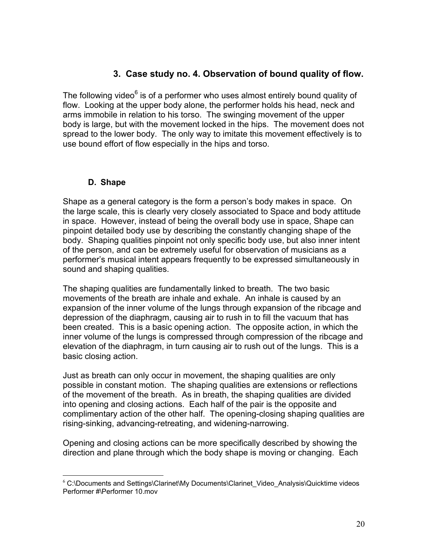### **3. Case study no. 4. Observation of bound quality of flow.**

The following video $^6$  is of a performer who uses almost entirely bound quality of flow. Looking at the upper body alone, the performer holds his head, neck and arms immobile in relation to his torso. The swinging movement of the upper body is large, but with the movement locked in the hips. The movement does not spread to the lower body. The only way to imitate this movement effectively is to use bound effort of flow especially in the hips and torso.

#### **D. Shape**

Shape as a general category is the form a person's body makes in space. On the large scale, this is clearly very closely associated to Space and body attitude in space. However, instead of being the overall body use in space, Shape can pinpoint detailed body use by describing the constantly changing shape of the body. Shaping qualities pinpoint not only specific body use, but also inner intent of the person, and can be extremely useful for observation of musicians as a performer's musical intent appears frequently to be expressed simultaneously in sound and shaping qualities.

The shaping qualities are fundamentally linked to breath. The two basic movements of the breath are inhale and exhale. An inhale is caused by an expansion of the inner volume of the lungs through expansion of the ribcage and depression of the diaphragm, causing air to rush in to fill the vacuum that has been created. This is a basic opening action. The opposite action, in which the inner volume of the lungs is compressed through compression of the ribcage and elevation of the diaphragm, in turn causing air to rush out of the lungs. This is a basic closing action.

Just as breath can only occur in movement, the shaping qualities are only possible in constant motion. The shaping qualities are extensions or reflections of the movement of the breath. As in breath, the shaping qualities are divided into opening and closing actions. Each half of the pair is the opposite and complimentary action of the other half. The opening-closing shaping qualities are rising-sinking, advancing-retreating, and widening-narrowing.

Opening and closing actions can be more specifically described by showing the direction and plane through which the body shape is moving or changing. Each

 $\overline{a}$  $6$  C:\Documents and Settings\Clarinet\My Documents\Clarinet Video Analysis\Quicktime videos Performer #\Performer 10.mov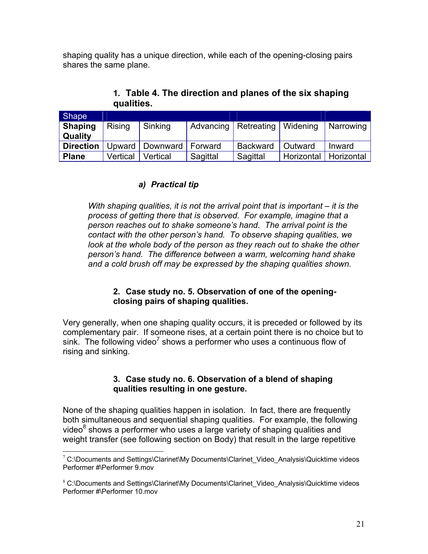shaping quality has a unique direction, while each of the opening-closing pairs shares the same plane.

| <b>Shape</b>              |          |                    |           |                 |            |            |
|---------------------------|----------|--------------------|-----------|-----------------|------------|------------|
| <b>Shaping</b><br>Quality | Rising   | Sinking            | Advancing | Retreating      | Widening   | Narrowing  |
| <b>Direction</b>          | Upward   | Downward   Forward |           | <b>Backward</b> | Outward    | Inward     |
| <b>Plane</b>              | Vertical | Vertical           | Sagittal  | Sagittal        | Horizontal | Horizontal |

## **1. Table 4. The direction and planes of the six shaping qualities.**

### *a) Practical tip*

*With shaping qualities, it is not the arrival point that is important – it is the process of getting there that is observed. For example, imagine that a person reaches out to shake someone's hand. The arrival point is the contact with the other person's hand. To observe shaping qualities, we*  look at the whole body of the person as they reach out to shake the other *person's hand. The difference between a warm, welcoming hand shake and a cold brush off may be expressed by the shaping qualities shown.* 

#### **2. Case study no. 5. Observation of one of the openingclosing pairs of shaping qualities.**

Very generally, when one shaping quality occurs, it is preceded or followed by its complementary pair. If someone rises, at a certain point there is no choice but to sink. The following video<sup>7</sup> shows a performer who uses a continuous flow of rising and sinking.

#### **3. Case study no. 6. Observation of a blend of shaping qualities resulting in one gesture.**

None of the shaping qualities happen in isolation. In fact, there are frequently both simultaneous and sequential shaping qualities. For example, the following video $^8$  shows a performer who uses a large variety of shaping qualities and weight transfer (see following section on Body) that result in the large repetitive

<sup>1</sup>  $7$  C:\Documents and Settings\Clarinet\My Documents\Clarinet\_Video\_Analysis\Quicktime videos Performer #\Performer 9.mov

 $8$  C:\Documents and Settings\Clarinet\My Documents\Clarinet\_Video\_Analysis\Quicktime videos Performer #\Performer 10.mov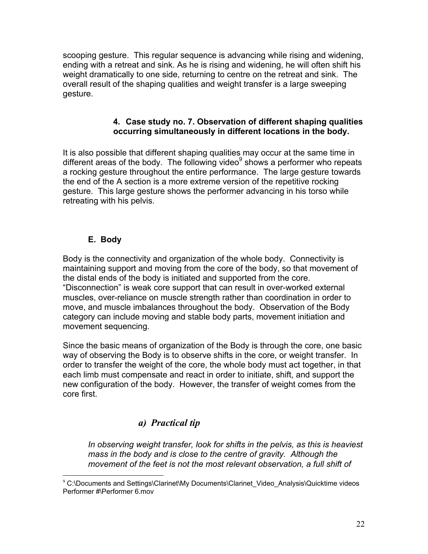scooping gesture. This regular sequence is advancing while rising and widening, ending with a retreat and sink. As he is rising and widening, he will often shift his weight dramatically to one side, returning to centre on the retreat and sink. The overall result of the shaping qualities and weight transfer is a large sweeping gesture.

#### **4. Case study no. 7. Observation of different shaping qualities occurring simultaneously in different locations in the body.**

It is also possible that different shaping qualities may occur at the same time in different areas of the body. The following video $9$  shows a performer who repeats a rocking gesture throughout the entire performance. The large gesture towards the end of the A section is a more extreme version of the repetitive rocking gesture. This large gesture shows the performer advancing in his torso while retreating with his pelvis.

#### **E. Body**

Body is the connectivity and organization of the whole body. Connectivity is maintaining support and moving from the core of the body, so that movement of the distal ends of the body is initiated and supported from the core. "Disconnection" is weak core support that can result in over-worked external muscles, over-reliance on muscle strength rather than coordination in order to move, and muscle imbalances throughout the body. Observation of the Body category can include moving and stable body parts, movement initiation and movement sequencing.

Since the basic means of organization of the Body is through the core, one basic way of observing the Body is to observe shifts in the core, or weight transfer. In order to transfer the weight of the core, the whole body must act together, in that each limb must compensate and react in order to initiate, shift, and support the new configuration of the body. However, the transfer of weight comes from the core first.

# *a) Practical tip*

*In observing weight transfer, look for shifts in the pelvis, as this is heaviest mass in the body and is close to the centre of gravity. Although the movement of the feet is not the most relevant observation, a full shift of* 

 $\overline{a}$  $9^9$  C:\Documents and Settings\Clarinet\My Documents\Clarinet\_Video\_Analysis\Quicktime videos Performer #\Performer 6.mov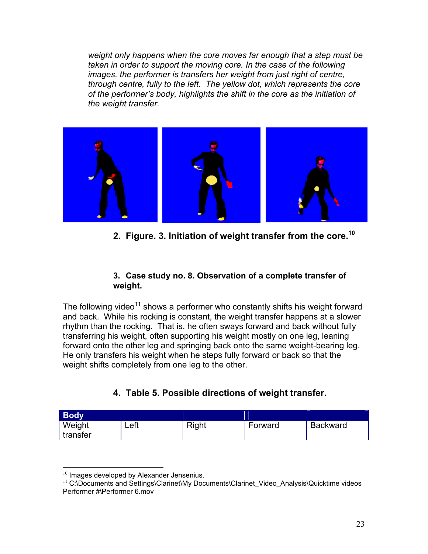*weight only happens when the core moves far enough that a step must be taken in order to support the moving core. In the case of the following images, the performer is transfers her weight from just right of centre, through centre, fully to the left. The yellow dot, which represents the core of the performer's body, highlights the shift in the core as the initiation of the weight transfer.* 



**2. Figure. 3. Initiation of weight transfer from the core.10**

#### **3. Case study no. 8. Observation of a complete transfer of weight.**

The following video<sup>11</sup> shows a performer who constantly shifts his weight forward and back. While his rocking is constant, the weight transfer happens at a slower rhythm than the rocking. That is, he often sways forward and back without fully transferring his weight, often supporting his weight mostly on one leg, leaning forward onto the other leg and springing back onto the same weight-bearing leg. He only transfers his weight when he steps fully forward or back so that the weight shifts completely from one leg to the other.

### **4. Table 5. Possible directions of weight transfer.**

| <b>Body</b>        |      |       |         |                 |
|--------------------|------|-------|---------|-----------------|
| Weight<br>transfer | Left | Right | Forward | <b>Backward</b> |

<sup>&</sup>lt;sup>10</sup> Images developed by Alexander Jensenius.

 $11$  C:\Documents and Settings\Clarinet\My Documents\Clarinet\_Video\_Analysis\Quicktime videos Performer #\Performer 6.mov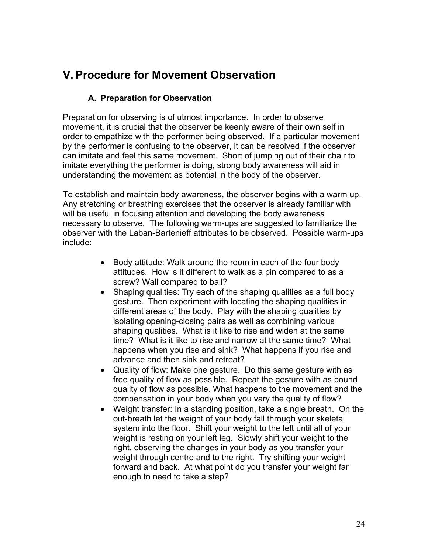# **V. Procedure for Movement Observation**

### **A. Preparation for Observation**

Preparation for observing is of utmost importance. In order to observe movement, it is crucial that the observer be keenly aware of their own self in order to empathize with the performer being observed. If a particular movement by the performer is confusing to the observer, it can be resolved if the observer can imitate and feel this same movement. Short of jumping out of their chair to imitate everything the performer is doing, strong body awareness will aid in understanding the movement as potential in the body of the observer.

To establish and maintain body awareness, the observer begins with a warm up. Any stretching or breathing exercises that the observer is already familiar with will be useful in focusing attention and developing the body awareness necessary to observe. The following warm-ups are suggested to familiarize the observer with the Laban-Bartenieff attributes to be observed. Possible warm-ups include:

- Body attitude: Walk around the room in each of the four body attitudes. How is it different to walk as a pin compared to as a screw? Wall compared to ball?
- Shaping qualities: Try each of the shaping qualities as a full body gesture. Then experiment with locating the shaping qualities in different areas of the body. Play with the shaping qualities by isolating opening-closing pairs as well as combining various shaping qualities. What is it like to rise and widen at the same time? What is it like to rise and narrow at the same time? What happens when you rise and sink? What happens if you rise and advance and then sink and retreat?
- Quality of flow: Make one gesture. Do this same gesture with as free quality of flow as possible. Repeat the gesture with as bound quality of flow as possible. What happens to the movement and the compensation in your body when you vary the quality of flow?
- Weight transfer: In a standing position, take a single breath. On the out-breath let the weight of your body fall through your skeletal system into the floor. Shift your weight to the left until all of your weight is resting on your left leg. Slowly shift your weight to the right, observing the changes in your body as you transfer your weight through centre and to the right. Try shifting your weight forward and back. At what point do you transfer your weight far enough to need to take a step?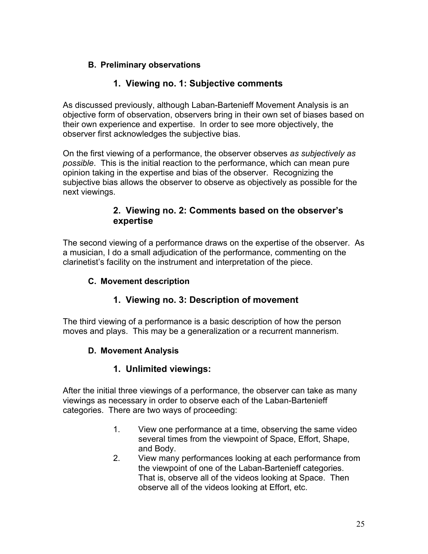#### **B. Preliminary observations**

### **1. Viewing no. 1: Subjective comments**

As discussed previously, although Laban-Bartenieff Movement Analysis is an objective form of observation, observers bring in their own set of biases based on their own experience and expertise. In order to see more objectively, the observer first acknowledges the subjective bias.

On the first viewing of a performance, the observer observes *as subjectively as possible*. This is the initial reaction to the performance, which can mean pure opinion taking in the expertise and bias of the observer. Recognizing the subjective bias allows the observer to observe as objectively as possible for the next viewings.

#### **2. Viewing no. 2: Comments based on the observer's expertise**

The second viewing of a performance draws on the expertise of the observer. As a musician, I do a small adjudication of the performance, commenting on the clarinetist's facility on the instrument and interpretation of the piece.

#### **C. Movement description**

### **1. Viewing no. 3: Description of movement**

The third viewing of a performance is a basic description of how the person moves and plays. This may be a generalization or a recurrent mannerism.

### **D. Movement Analysis**

### **1. Unlimited viewings:**

After the initial three viewings of a performance, the observer can take as many viewings as necessary in order to observe each of the Laban-Bartenieff categories. There are two ways of proceeding:

- 1. View one performance at a time, observing the same video several times from the viewpoint of Space, Effort, Shape, and Body.
- 2. View many performances looking at each performance from the viewpoint of one of the Laban-Bartenieff categories. That is, observe all of the videos looking at Space. Then observe all of the videos looking at Effort, etc.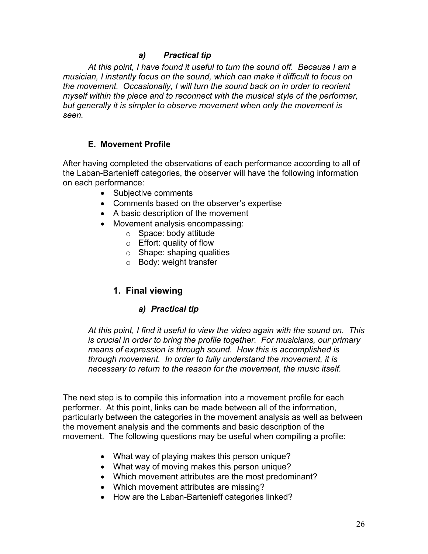#### *a) Practical tip*

 *At this point, I have found it useful to turn the sound off. Because I am a musician, I instantly focus on the sound, which can make it difficult to focus on the movement. Occasionally, I will turn the sound back on in order to reorient myself within the piece and to reconnect with the musical style of the performer, but generally it is simpler to observe movement when only the movement is seen.* 

#### **E. Movement Profile**

After having completed the observations of each performance according to all of the Laban-Bartenieff categories, the observer will have the following information on each performance:

- Subjective comments
- Comments based on the observer's expertise
- A basic description of the movement
- Movement analysis encompassing:
	- o Space: body attitude
	- o Effort: quality of flow
	- $\circ$  Shape: shaping qualities
	- o Body: weight transfer

### **1. Final viewing**

#### *a) Practical tip*

*At this point, I find it useful to view the video again with the sound on. This is crucial in order to bring the profile together. For musicians, our primary means of expression is through sound. How this is accomplished is through movement. In order to fully understand the movement, it is necessary to return to the reason for the movement, the music itself.* 

The next step is to compile this information into a movement profile for each performer. At this point, links can be made between all of the information, particularly between the categories in the movement analysis as well as between the movement analysis and the comments and basic description of the movement. The following questions may be useful when compiling a profile:

- What way of playing makes this person unique?
- What way of moving makes this person unique?
- Which movement attributes are the most predominant?
- Which movement attributes are missing?
- How are the Laban-Bartenieff categories linked?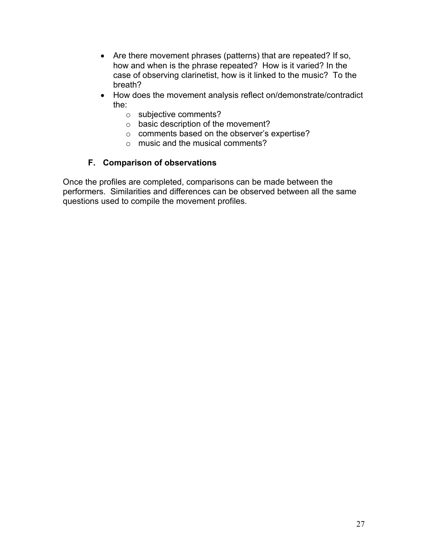- Are there movement phrases (patterns) that are repeated? If so, how and when is the phrase repeated? How is it varied? In the case of observing clarinetist, how is it linked to the music? To the breath?
- How does the movement analysis reflect on/demonstrate/contradict the:
	- o subjective comments?
	- o basic description of the movement?
	- o comments based on the observer's expertise?
	- o music and the musical comments?

#### **F. Comparison of observations**

Once the profiles are completed, comparisons can be made between the performers. Similarities and differences can be observed between all the same questions used to compile the movement profiles.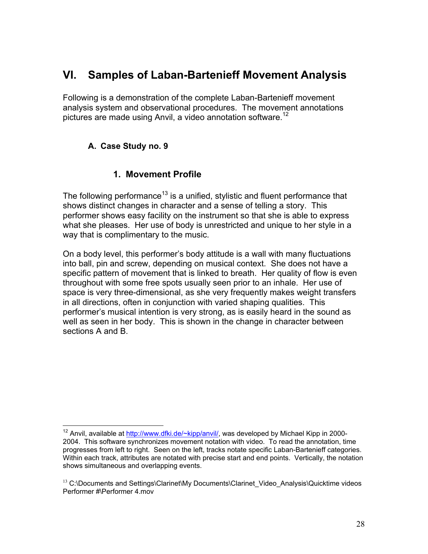# **VI. Samples of Laban-Bartenieff Movement Analysis**

Following is a demonstration of the complete Laban-Bartenieff movement analysis system and observational procedures. The movement annotations pictures are made using Anvil, a video annotation software.<sup>12</sup>

### **A. Case Study no. 9**

### **1. Movement Profile**

The following performance<sup>13</sup> is a unified, stylistic and fluent performance that shows distinct changes in character and a sense of telling a story. This performer shows easy facility on the instrument so that she is able to express what she pleases. Her use of body is unrestricted and unique to her style in a way that is complimentary to the music.

On a body level, this performer's body attitude is a wall with many fluctuations into ball, pin and screw, depending on musical context. She does not have a specific pattern of movement that is linked to breath. Her quality of flow is even throughout with some free spots usually seen prior to an inhale. Her use of space is very three-dimensional, as she very frequently makes weight transfers in all directions, often in conjunction with varied shaping qualities. This performer's musical intention is very strong, as is easily heard in the sound as well as seen in her body. This is shown in the change in character between sections A and B.

 $\overline{a}$ <sup>12</sup> Anvil, available at http://www.dfki.de/~kipp/anvil/, was developed by Michael Kipp in 2000-2004. This software synchronizes movement notation with video. To read the annotation, time progresses from left to right. Seen on the left, tracks notate specific Laban-Bartenieff categories. Within each track, attributes are notated with precise start and end points. Vertically, the notation shows simultaneous and overlapping events.

 $13$  C:\Documents and Settings\Clarinet\My Documents\Clarinet\_Video\_Analysis\Quicktime videos Performer #\Performer 4.mov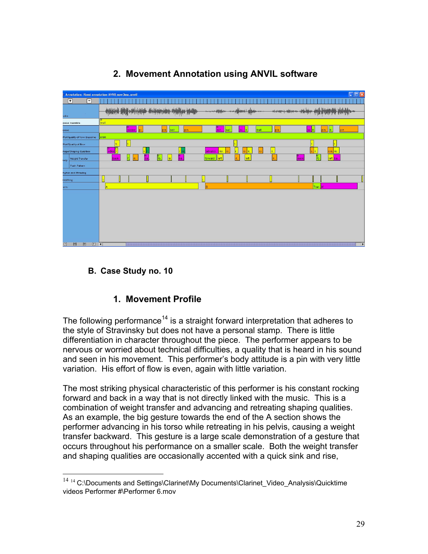

# **2. Movement Annotation using ANVIL software**

**B. Case Study no. 10** 

 $\overline{a}$ 

### **1. Movement Profile**

The following performance<sup>14</sup> is a straight forward interpretation that adheres to the style of Stravinsky but does not have a personal stamp. There is little differentiation in character throughout the piece. The performer appears to be nervous or worried about technical difficulties, a quality that is heard in his sound and seen in his movement. This performer's body attitude is a pin with very little variation. His effort of flow is even, again with little variation.

The most striking physical characteristic of this performer is his constant rocking forward and back in a way that is not directly linked with the music. This is a combination of weight transfer and advancing and retreating shaping qualities. As an example, the big gesture towards the end of the A section shows the performer advancing in his torso while retreating in his pelvis, causing a weight transfer backward. This gesture is a large scale demonstration of a gesture that occurs throughout his performance on a smaller scale. Both the weight transfer and shaping qualities are occasionally accented with a quick sink and rise,

 $14$  14 C:\Documents and Settings\Clarinet\My Documents\Clarinet\_Video\_Analysis\Quicktime videos Performer #\Performer 6.mov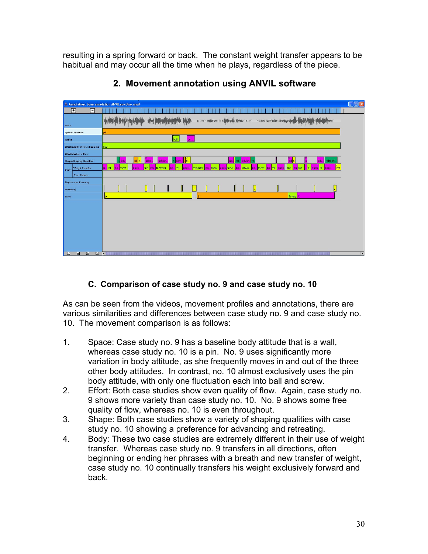resulting in a spring forward or back. The constant weight transfer appears to be habitual and may occur all the time when he plays, regardless of the piece.



## **2. Movement annotation using ANVIL software**

### **C. Comparison of case study no. 9 and case study no. 10**

As can be seen from the videos, movement profiles and annotations, there are various similarities and differences between case study no. 9 and case study no. 10. The movement comparison is as follows:

- 1. Space: Case study no. 9 has a baseline body attitude that is a wall, whereas case study no. 10 is a pin. No. 9 uses significantly more variation in body attitude, as she frequently moves in and out of the three other body attitudes. In contrast, no. 10 almost exclusively uses the pin body attitude, with only one fluctuation each into ball and screw.
- 2. Effort: Both case studies show even quality of flow. Again, case study no. 9 shows more variety than case study no. 10. No. 9 shows some free quality of flow, whereas no. 10 is even throughout.
- 3. Shape: Both case studies show a variety of shaping qualities with case study no. 10 showing a preference for advancing and retreating.
- 4. Body: These two case studies are extremely different in their use of weight transfer. Whereas case study no. 9 transfers in all directions, often beginning or ending her phrases with a breath and new transfer of weight, case study no. 10 continually transfers his weight exclusively forward and back.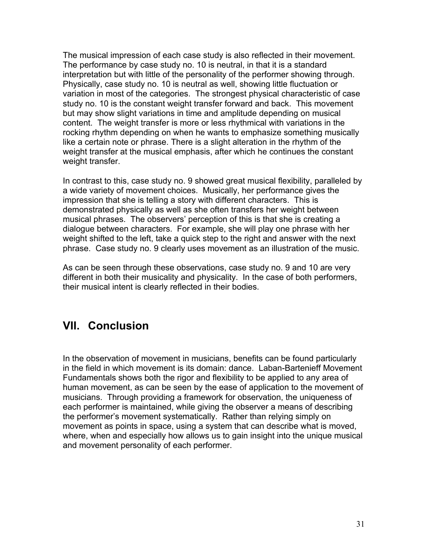The musical impression of each case study is also reflected in their movement. The performance by case study no. 10 is neutral, in that it is a standard interpretation but with little of the personality of the performer showing through. Physically, case study no. 10 is neutral as well, showing little fluctuation or variation in most of the categories. The strongest physical characteristic of case study no. 10 is the constant weight transfer forward and back. This movement but may show slight variations in time and amplitude depending on musical content. The weight transfer is more or less rhythmical with variations in the rocking rhythm depending on when he wants to emphasize something musically like a certain note or phrase. There is a slight alteration in the rhythm of the weight transfer at the musical emphasis, after which he continues the constant weight transfer.

In contrast to this, case study no. 9 showed great musical flexibility, paralleled by a wide variety of movement choices. Musically, her performance gives the impression that she is telling a story with different characters. This is demonstrated physically as well as she often transfers her weight between musical phrases. The observers' perception of this is that she is creating a dialogue between characters. For example, she will play one phrase with her weight shifted to the left, take a quick step to the right and answer with the next phrase. Case study no. 9 clearly uses movement as an illustration of the music.

As can be seen through these observations, case study no. 9 and 10 are very different in both their musicality and physicality. In the case of both performers, their musical intent is clearly reflected in their bodies.

# **VII. Conclusion**

In the observation of movement in musicians, benefits can be found particularly in the field in which movement is its domain: dance. Laban-Bartenieff Movement Fundamentals shows both the rigor and flexibility to be applied to any area of human movement, as can be seen by the ease of application to the movement of musicians. Through providing a framework for observation, the uniqueness of each performer is maintained, while giving the observer a means of describing the performer's movement systematically. Rather than relying simply on movement as points in space, using a system that can describe what is moved, where, when and especially how allows us to gain insight into the unique musical and movement personality of each performer.